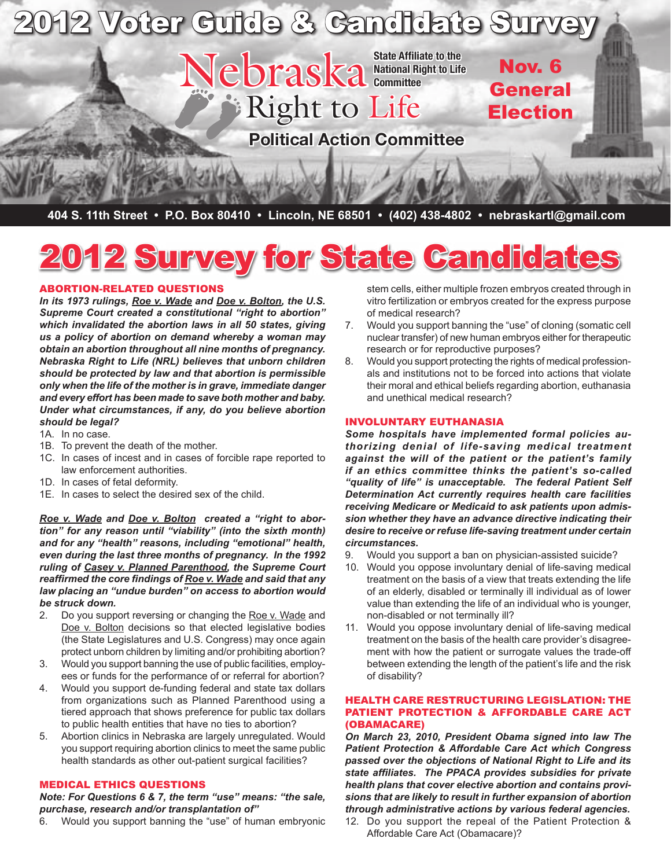

**404 S. 11th Street • P.O. Box 80410 • Lincoln, NE 68501 • (402) 438-4802 • nebraskartl@gmail.com**

# rvey for State Candidate

#### Abortion-Related Questions

*In its 1973 rulings, Roe v. Wade and Doe v. Bolton, the U.S. Supreme Court created a constitutional "right to abortion" which invalidated the abortion laws in all 50 states, giving us a policy of abortion on demand whereby a woman may obtain an abortion throughout all nine months of pregnancy. Nebraska Right to Life (NRL) believes that unborn children should be protected by law and that abortion is permissible only when the life of the mother is in grave, immediate danger and every effort has been made to save both mother and baby. Under what circumstances, if any, do you believe abortion should be legal?*

- 1A. In no case.
- 1B. To prevent the death of the mother.
- 1C. In cases of incest and in cases of forcible rape reported to law enforcement authorities.
- 1D. In cases of fetal deformity.
- 1E. In cases to select the desired sex of the child.

*Roe v. Wade and Doe v. Bolton created a "right to abortion" for any reason until "viability" (into the sixth month) and for any "health" reasons, including "emotional" health, even during the last three months of pregnancy. In the 1992 ruling of Casey v. Planned Parenthood, the Supreme Court reaffirmed the core findings of Roe v. Wade and said that any law placing an "undue burden" on access to abortion would be struck down.*

- 2. Do you support reversing or changing the Roe v. Wade and Doe v. Bolton decisions so that elected legislative bodies (the State Legislatures and U.S. Congress) may once again protect unborn children by limiting and/or prohibiting abortion?
- 3. Would you support banning the use of public facilities, employees or funds for the performance of or referral for abortion?
- 4. Would you support de-funding federal and state tax dollars from organizations such as Planned Parenthood using a tiered approach that shows preference for public tax dollars to public health entities that have no ties to abortion?
- 5. Abortion clinics in Nebraska are largely unregulated. Would you support requiring abortion clinics to meet the same public health standards as other out-patient surgical facilities?

#### MEDICAL ETHICS QUESTIONS

*Note: For Questions 6 & 7, the term "use" means: "the sale, purchase, research and/or transplantation of"*

6. Would you support banning the "use" of human embryonic

stem cells, either multiple frozen embryos created through in vitro fertilization or embryos created for the express purpose of medical research?

- 7. Would you support banning the "use" of cloning (somatic cell nuclear transfer) of new human embryos either for therapeutic research or for reproductive purposes?
- 8. Would you support protecting the rights of medical professionals and institutions not to be forced into actions that violate their moral and ethical beliefs regarding abortion, euthanasia and unethical medical research?

#### Involuntary Euthanasia

*Some hospitals have implemented formal policies authorizing denial of life-saving medical treatment against the will of the patient or the patient's family if an ethics committee thinks the patient's so-called "quality of life" is unacceptable. The federal Patient Self Determination Act currently requires health care facilities receiving Medicare or Medicaid to ask patients upon admission whether they have an advance directive indicating their desire to receive or refuse life-saving treatment under certain circumstances.* 

- 9. Would you support a ban on physician-assisted suicide?
- 10. Would you oppose involuntary denial of life-saving medical treatment on the basis of a view that treats extending the life of an elderly, disabled or terminally ill individual as of lower value than extending the life of an individual who is younger, non-disabled or not terminally ill?
- 11. Would you oppose involuntary denial of life-saving medical treatment on the basis of the health care provider's disagreement with how the patient or surrogate values the trade-off between extending the length of the patient's life and the risk of disability?

#### Health Care Restructuring Legislation: The Patient Protection & Affordable Care Act (Obamacare)

*On March 23, 2010, President Obama signed into law The Patient Protection & Affordable Care Act which Congress passed over the objections of National Right to Life and its state affiliates. The PPACA provides subsidies for private health plans that cover elective abortion and contains provisions that are likely to result in further expansion of abortion through administrative actions by various federal agencies.* 

12. Do you support the repeal of the Patient Protection & Affordable Care Act (Obamacare)?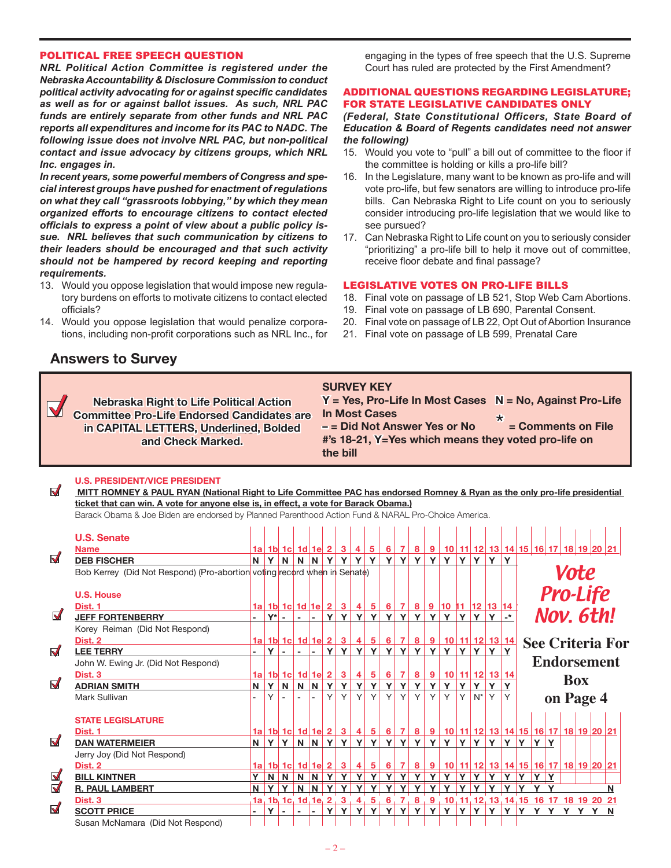#### POLITICAL FREE SPEECH QUESTION

*NRL Political Action Committee is registered under the Nebraska Accountability & Disclosure Commission to conduct political activity advocating for or against specific candidates as well as for or against ballot issues. As such, NRL PAC funds are entirely separate from other funds and NRL PAC reports all expenditures and income for its PAC to NADC. The following issue does not involve NRL PAC, but non-political contact and issue advocacy by citizens groups, which NRL Inc. engages in.*

*In recent years, some powerful members of Congress and special interest groups have pushed for enactment of regulations on what they call "grassroots lobbying," by which they mean organized efforts to encourage citizens to contact elected officials to express a point of view about a public policy issue. NRL believes that such communication by citizens to their leaders should be encouraged and that such activity should not be hampered by record keeping and reporting requirements.* 

- 13. Would you oppose legislation that would impose new regulatory burdens on efforts to motivate citizens to contact elected officials?
- 14. Would you oppose legislation that would penalize corporations, including non-profit corporations such as NRL Inc., for

# **Answers to Survey**

 $\overline{\mathbf{v}}$ 

engaging in the types of free speech that the U.S. Supreme Court has ruled are protected by the First Amendment?

#### ADDITIONAL QUESTIONS REGARDING LEGISLATURE; FOR STATE LEGISLATIVE CANDIDATES ONLY

*(Federal, State Constitutional Officers, State Board of Education & Board of Regents candidates need not answer the following)*

- 15. Would you vote to "pull" a bill out of committee to the floor if the committee is holding or kills a pro-life bill?
- 16. In the Legislature, many want to be known as pro-life and will vote pro-life, but few senators are willing to introduce pro-life bills. Can Nebraska Right to Life count on you to seriously consider introducing pro-life legislation that we would like to see pursued?
- 17. Can Nebraska Right to Life count on you to seriously consider "prioritizing" a pro-life bill to help it move out of committee, receive floor debate and final passage?

#### LEGISLATIVE VOTES ON PRO-LIFE BILLS

- 18. Final vote on passage of LB 521, Stop Web Cam Abortions.
- 19. Final vote on passage of LB 690, Parental Consent.
- 20. Final vote on passage of LB 22, Opt Out of Abortion Insurance
- 21. Final vote on passage of LB 599, Prenatal Care

| <b>Nebraska Right to Life Political Action</b><br><b>Committee Pro-Life Endorsed Candidates are</b><br>in CAPITAL LETTERS, Underlined, Bolded<br>and Check Marked. | <b>SURVEY KEY</b><br>$Y = Yes$ , Pro-Life In Most Cases $N = No$ , Against Pro-Life<br>In Most Cases<br>= Comments on File<br>$-$ = Did Not Answer Yes or No<br>#'s 18-21, Y=Yes which means they voted pro-life on<br>the bill |
|--------------------------------------------------------------------------------------------------------------------------------------------------------------------|---------------------------------------------------------------------------------------------------------------------------------------------------------------------------------------------------------------------------------|
|                                                                                                                                                                    |                                                                                                                                                                                                                                 |

#### **U.S. President/Vice President**

 **MITT ROMNEY & PAUL RYAN (National Right to Life Committee PAC has endorsed Romney & Ryan as the only pro-life presidential ticket that can win. A vote for anyone else is, in effect, a vote for Barack Obama.)**

Barack Obama & Joe Biden are endorsed by Planned Parenthood Action Fund & NARAL Pro-Choice America.

|                         | <b>U.S. Senate</b><br><b>Name</b>                                        |   |              |              |      |                 |          |                                              | 4         | $5\,$        | $6 \mid$ |        |              |          | <u>7 8 9 10 11 12 13 14 15 16 17 18 19 20 21</u>                                            |                |         |             |            |    |     |      |            |                 |                         |
|-------------------------|--------------------------------------------------------------------------|---|--------------|--------------|------|-----------------|----------|----------------------------------------------|-----------|--------------|----------|--------|--------------|----------|---------------------------------------------------------------------------------------------|----------------|---------|-------------|------------|----|-----|------|------------|-----------------|-------------------------|
| $\blacktriangledown$    | <b>DEB FISCHER</b>                                                       |   | $N$ $Y$      |              | NNNY |                 |          | <u>1a   1b   1c   1d   1e   2   3  </u><br>Y | Y         | $\mathbf{Y}$ | ΥI       | Y      | Y            | Y        | Y                                                                                           |                | YY      | <b>Y</b>    | Y          |    |     |      |            |                 |                         |
|                         | Bob Kerrey (Did Not Respond) (Pro-abortion voting record when in Senate) |   |              |              |      |                 |          |                                              |           |              |          |        |              |          |                                                                                             |                |         |             |            |    |     | Vote |            |                 |                         |
|                         | <b>U.S. House</b>                                                        |   |              |              |      |                 |          |                                              |           |              |          |        |              |          |                                                                                             |                |         |             |            |    |     |      |            | <b>Pro-Life</b> |                         |
|                         | Dist. 1                                                                  |   |              |              |      |                 |          | $1a$ 1b $1c$ 1d $1e$ 2 3 4 5 6               |           |              |          |        |              |          | 7 8 9 10 11 12 13 14                                                                        |                |         |             |            |    |     |      |            |                 |                         |
| $\blacktriangledown$    | <b>JEFF FORTENBERRY</b>                                                  |   |              | Y* -         |      |                 | ΥI       | Y                                            |           | YY           |          |        | YYY          | Y        | Y <sub>1</sub>                                                                              |                | YYY     |             | $\cdot$ *  |    |     |      |            | Nov. 6th!       |                         |
|                         | Korey Reiman (Did Not Respond)                                           |   |              |              |      |                 |          |                                              |           |              |          |        |              |          |                                                                                             |                |         |             |            |    |     |      |            |                 |                         |
|                         | Dist. 2                                                                  |   |              |              |      |                 |          |                                              |           |              |          |        |              |          | <u>1a 1b 1c 1d 1e 2 3 4 5 6 7 8 9 10 11 12 13 14</u>                                        |                |         |             |            |    |     |      |            |                 | <b>See Criteria For</b> |
| $\blacktriangledown$    | <b>LEE TERRY</b>                                                         |   | Y            |              |      |                 | Y        | Y                                            | <b>Y</b>  | <b>Y</b>     |          | Y Y    | Y            | Y        | Y                                                                                           |                | YYY     |             |            |    |     |      |            |                 |                         |
|                         | John W. Ewing Jr. (Did Not Respond)                                      |   |              |              |      |                 |          |                                              |           |              |          |        |              |          |                                                                                             |                |         |             |            |    |     |      |            |                 | <b>Endorsement</b>      |
|                         | Dist. <sub>3</sub>                                                       |   |              |              |      |                 |          | $1a$ 1b $1c$ 1d $1e$ 2 3                     | $\vert$ 4 | 5            | $6 \mid$ |        |              |          | 7 8 9 10 11 12 13 14                                                                        |                |         |             |            |    |     |      |            |                 |                         |
| $\blacktriangledown$    | <b>ADRIAN SMITH</b>                                                      | N | Y            | N            | N    | $\vert N \vert$ | <b>Y</b> | Y                                            | Y         | Y            | Y        | Y.     | Y            | Y        | Y <sub>1</sub>                                                                              | Y <sub>1</sub> | Y       |             |            |    |     |      | <b>Box</b> |                 |                         |
|                         | Mark Sullivan                                                            |   | v            |              |      |                 | ΥI       | $\mathsf{Y}$                                 | Y.        | $\mathsf{Y}$ | Y        | $\vee$ | $\vee$       | $Y \mid$ | Y <sub>1</sub>                                                                              | Y              | $N^*$ Y |             | Υ          |    |     |      |            | on Page 4       |                         |
|                         | <b>STATE LEGISLATURE</b>                                                 |   |              |              |      |                 |          |                                              |           |              |          |        |              |          |                                                                                             |                |         |             |            |    |     |      |            |                 |                         |
|                         | Dist. 1                                                                  |   |              |              |      |                 |          |                                              |           |              |          |        |              |          | 1a 1b 1c 1d 1e 2 3 4 5 6 7 8 9 10 11 12 13 14 15 16 17 8 20 21                              |                |         |             |            |    |     |      |            |                 |                         |
| $\blacktriangledown$    | <b>DAN WATERMEIER</b>                                                    |   | $N$ $Y$      | $\mathbf{Y}$ |      |                 |          | N N Y Y                                      |           | YY           |          | Y Y    | Y            | Y        | Y                                                                                           |                | YY      | <b>Y</b>    | Y          | Y  | YY  |      |            |                 |                         |
|                         | Jerry Joy (Did Not Respond)                                              |   |              |              |      |                 |          |                                              |           |              |          |        |              |          |                                                                                             |                |         |             |            |    |     |      |            |                 |                         |
|                         | Dist. 2                                                                  |   |              |              |      |                 |          |                                              |           |              |          |        |              |          | 1a 1b 1c 1d 1e 2 3 4 5 6 7 8 9 10 11 12 13 14 15 16 17 18 19 20 21                          |                |         |             |            |    |     |      |            |                 |                         |
|                         | <b>BILL KINTNER</b>                                                      |   |              | NN           |      | $N$ $N$ $Y$     |          | Y                                            |           | YY           |          |        | YYY          |          | YY                                                                                          |                | YYY     |             | Y          | Y  | YY  |      |            |                 |                         |
| $\overline{\mathbf{z}}$ | <b>R. PAUL LAMBERT</b>                                                   | N |              | V V          |      |                 |          | $N$ $N$ $Y$ $Y$                              |           |              | Y Y Y Y  |        | $\mathbf{Y}$ |          | YYYYYY                                                                                      |                |         |             | <b>Y</b> Y |    |     |      |            |                 |                         |
|                         | Dist. 3                                                                  |   |              |              |      |                 |          |                                              |           |              |          |        |              |          | <u>1a, 1b, 1c, 1d, 1e, 2, 3, 4, 5, 6, 7, 8, 9, 10, 11, 12, 13, 14, 15 16 17 18 19 20 21</u> |                |         |             |            |    |     |      |            |                 |                         |
| $\blacktriangledown$    | <b>SCOTT PRICE</b>                                                       |   | $\mathbf{v}$ |              |      |                 |          |                                              |           | v            | v        | v      | Y            | Y        | Y                                                                                           | Y              | Y       | $\mathbf v$ | Y          | Y. | Y Y |      |            | Y Y Y N         |                         |
|                         | Susan McNamara (Did Not Respond)                                         |   |              |              |      |                 |          |                                              |           |              |          |        |              |          |                                                                                             |                |         |             |            |    |     |      |            |                 |                         |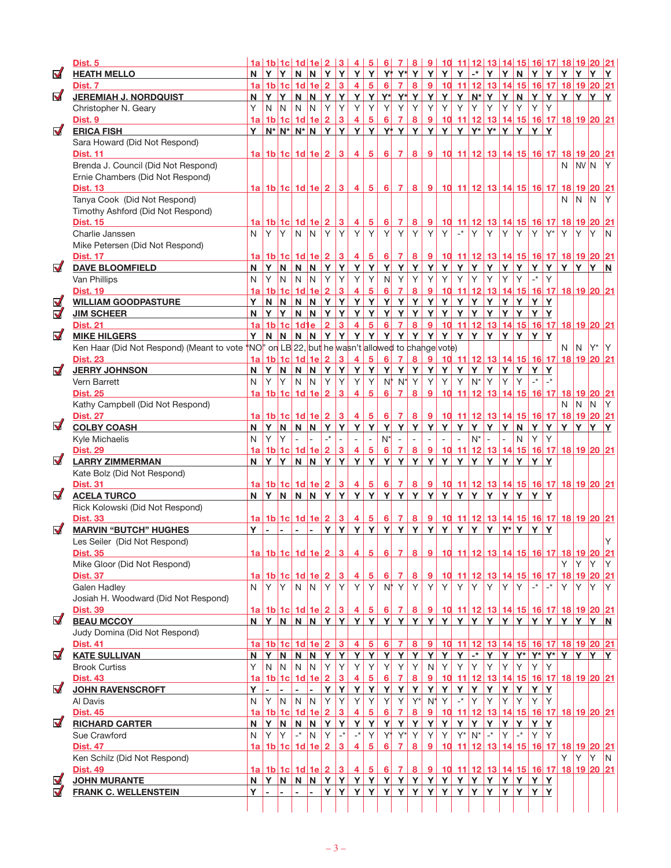|                      | Dist. 5                                                                                         |                 |             |               |                                         |                         |                |                                |                                       |                     |                 |                          |                         |                                                           |            | <u>1a   1b   1c   1d   1e   2   3   4   5   6   7   8   9   10   11   12   13   14   15   16   17   18   19   20   21</u> |                              |     |             |                                     |             |                      |                    |       |     |     |
|----------------------|-------------------------------------------------------------------------------------------------|-----------------|-------------|---------------|-----------------------------------------|-------------------------|----------------|--------------------------------|---------------------------------------|---------------------|-----------------|--------------------------|-------------------------|-----------------------------------------------------------|------------|---------------------------------------------------------------------------------------------------------------------------|------------------------------|-----|-------------|-------------------------------------|-------------|----------------------|--------------------|-------|-----|-----|
| $\nabla$             | <b>HEATH MELLO</b>                                                                              |                 | $N$ $Y$ $Y$ |               |                                         |                         |                |                                | N N Y Y Y Y Y Y Y Y Y Y Y Y           |                     |                 |                          |                         |                                                           |            |                                                                                                                           | $ \cdot $ Y Y Y              |     |             | $N$ $Y$                             |             | Y                    | Y                  | Y     | Y Y |     |
|                      | Dist. 7                                                                                         |                 |             |               | $1a$ 1b $1c$ 1d $1e$ 2                  |                         |                | $\overline{\mathbf{3}}$        | $\overline{4}$                        | $5\overline{)}$     | $6\phantom{1}6$ |                          | 7 8                     | 9                                                         |            | 10 11 12 13 14 15 16 17 18 19 20 21                                                                                       |                              |     |             |                                     |             |                      |                    |       |     |     |
| $\triangledown$      | <b>JEREMIAH J. NORDQUIST</b>                                                                    | N               |             | Y Y           |                                         | N N                     |                |                                | YYY                                   |                     |                 | Y Y* Y* Y Y              |                         |                                                           |            | Y Y N* Y Y N Y Y Y Y Y                                                                                                    |                              |     |             |                                     |             |                      |                    |       |     | Y   |
|                      | Christopher N. Geary                                                                            | Y               | N           | IN.           | N                                       | IN.                     | Y              | Y                              | Y                                     | Y                   | Y               | Y                        | Y                       | Y                                                         | Y          | Y                                                                                                                         | Y                            | Y   | Y           | Y                                   | Y           | Y                    |                    |       |     |     |
|                      | Dist. 9                                                                                         | 1a              |             |               | $1b$ 1c $1d$ 1e                         |                         | $\overline{2}$ | $\mathbf{3}$                   | $\overline{4}$                        | $\overline{5}$      | 6               | $\overline{7}$           | 8                       | $\overline{9}$                                            |            | 10 11 12 13 14 15 16 17 18 19 20 21                                                                                       |                              |     |             |                                     |             |                      |                    |       |     |     |
| $\blacktriangledown$ | <b>ERICA FISH</b>                                                                               | Y.              |             |               |                                         |                         |                |                                | $N^*$ $N^*$ $N^*$ $N$ $Y$ $Y$ $Y$ $Y$ |                     |                 | $Y^*$ $Y$ $Y$ $Y$        |                         |                                                           | Y          | Y                                                                                                                         | Y*   Y*   Y   Y   Y   Y      |     |             |                                     |             |                      |                    |       |     |     |
|                      | Sara Howard (Did Not Respond)                                                                   |                 |             |               |                                         |                         |                |                                |                                       |                     |                 |                          |                         |                                                           |            |                                                                                                                           |                              |     |             |                                     |             |                      |                    |       |     |     |
|                      | <b>Dist. 11</b>                                                                                 |                 |             |               | 1a   1b   1c   1d   1e   2   3          |                         |                |                                | $-4$                                  |                     |                 | 5 6 7 8 9                |                         |                                                           |            | 10 11 12 13 14 15 16 17 18 19 20 21                                                                                       |                              |     |             |                                     |             |                      |                    |       |     |     |
|                      | Brenda J. Council (Did Not Respond)                                                             |                 |             |               |                                         |                         |                |                                |                                       |                     |                 |                          |                         |                                                           |            |                                                                                                                           |                              |     |             |                                     |             |                      |                    | N NVN |     | IY. |
|                      | Ernie Chambers (Did Not Respond)                                                                |                 |             |               |                                         |                         |                |                                |                                       |                     |                 |                          |                         |                                                           |            |                                                                                                                           |                              |     |             |                                     |             |                      |                    |       |     |     |
|                      | <b>Dist. 13</b>                                                                                 |                 |             |               |                                         |                         |                |                                |                                       |                     |                 |                          |                         |                                                           |            | <u>1a 1b 1c 1d 1e 2 3 4 5 6 7 8 9 10 11 12 13 14 15 16 17 18 19 20 21</u>                                                 |                              |     |             |                                     |             |                      |                    |       |     |     |
|                      | Tanya Cook (Did Not Respond)                                                                    |                 |             |               |                                         |                         |                |                                |                                       |                     |                 |                          |                         |                                                           |            |                                                                                                                           |                              |     |             |                                     |             |                      | N.                 | IN.   | IN. | Y   |
|                      | Timothy Ashford (Did Not Respond)                                                               |                 |             |               |                                         |                         |                |                                |                                       |                     |                 |                          |                         |                                                           |            |                                                                                                                           |                              |     |             |                                     |             |                      |                    |       |     |     |
|                      | <b>Dist. 15</b>                                                                                 | 1al             |             |               | 1b 1c 1d 1e 2 3                         |                         |                |                                | $\overline{4}$                        | 5                   | 6               | $\vert$ 7                | $\overline{\mathbf{8}}$ | $\overline{9}$                                            |            | <u>10 11 12 13 14 15 16 17 18 19 20 21</u>                                                                                |                              |     |             |                                     |             |                      |                    |       |     |     |
|                      | Charlie Janssen                                                                                 | N               | Y           | Y             | $\mathsf{N}$                            | $\overline{N}$          | Y              | Y                              | Y                                     | Y                   | Y               | Y                        | $\mathsf{Y}$            | Y                                                         | Y          | $\mathbf{r}^*$                                                                                                            | Y                            | Y   | Y.          | Y                                   | Y           | $Y^*$                | Y                  | lY.   | IY. | N   |
|                      | Mike Petersen (Did Not Respond)                                                                 |                 |             |               |                                         |                         |                |                                |                                       |                     |                 |                          |                         |                                                           |            |                                                                                                                           |                              |     |             |                                     |             |                      |                    |       |     |     |
|                      | <b>Dist. 17</b>                                                                                 | 1a              |             |               | $1b$ 1c $1d$ 1e $2$ 3                   |                         |                |                                | $-4$                                  |                     |                 |                          |                         |                                                           |            | 5 6 7 8 9 10 11 12 13 14 15 16 17 18 19 20 21                                                                             |                              |     |             |                                     |             |                      |                    |       |     |     |
| $\blacktriangledown$ | <b>DAVE BLOOMFIELD</b>                                                                          | N               | Y           | N <sub></sub> | N                                       | $\overline{\mathsf{N}}$ |                | YY                             | $\mathbf{Y}$                          | <u>Y</u>            | Y               | <u>Y</u>                 | $\mathbf{Y}$            | Y                                                         | Y          | Y                                                                                                                         | <u>Y</u>                     | Y   |             |                                     |             |                      | YYYYYYY            |       |     | N.  |
|                      | Van Phillips                                                                                    | N               | Υ           | N             | N                                       | IN.                     | Y              | Y                              | Y                                     | Y                   | N               | Y                        | Y                       | Y                                                         | Y          | Y                                                                                                                         | Y                            | Y   | Y           | Y                                   |             | Y                    |                    |       |     |     |
|                      | <b>Dist. 19</b>                                                                                 | 1a              |             |               | 1b 1c 1d 1e 2                           |                         |                | 3                              | $\overline{4}$                        | $5\phantom{.0}$     | 6               | $\overline{7}$           | $\bf{8}$                | $\overline{9}$                                            |            | <u>10 11 12 13 14 15 16 17 18 19 20 21</u>                                                                                |                              |     |             |                                     |             |                      |                    |       |     |     |
| $\blacktriangledown$ | <b>WILLIAM GOODPASTURE</b>                                                                      | Y.              |             | $N$ $N$       |                                         | $N$ $N$                 |                |                                | YYY                                   | Y                   | Y               |                          |                         | YYY                                                       | Y          | YY                                                                                                                        |                              |     | Y Y Y Y Y Y |                                     |             |                      |                    |       |     |     |
| $\blacktriangledown$ | <b>JIM SCHEER</b>                                                                               | N               | YY          |               |                                         |                         | N N Y Y        |                                | Y                                     | Y                   | Y               | Y                        | $\mathbf{Y}$            | Y                                                         | Y          | YY                                                                                                                        |                              |     | Y Y Y Y Y   |                                     |             |                      |                    |       |     |     |
|                      |                                                                                                 |                 |             |               | $1a$ 1b $1c$ 1d $1e$                    |                         | $\overline{2}$ | 3 <sup>1</sup>                 | $\overline{4}$                        | $\overline{5}$      | $6\phantom{a}6$ | 7 8                      |                         | 9                                                         |            | 10 11 12 13 14 15 16 17 18 19 20 21                                                                                       |                              |     |             |                                     |             |                      |                    |       |     |     |
| $\nabla$             | <b>Dist. 21</b>                                                                                 | Y               |             |               |                                         |                         |                |                                |                                       |                     |                 |                          |                         |                                                           |            |                                                                                                                           |                              |     |             |                                     | Y Y         |                      |                    |       |     |     |
|                      | <b>MIKE HILGERS</b>                                                                             |                 | N           | N             |                                         | N N                     |                |                                | YYY                                   | Y                   | Y               |                          |                         | $Y$ $Y$ $Y$                                               |            | YYY                                                                                                                       |                              | Y.  | YY          |                                     |             |                      |                    |       |     |     |
|                      | Ken Haar (Did Not Respond) (Meant to vote 'NO'' on LB 22, but he wasn't allowed to change vote) |                 |             |               |                                         |                         |                |                                |                                       |                     |                 |                          |                         |                                                           |            |                                                                                                                           |                              |     |             |                                     |             |                      | N                  | IN.   | Y*  | Y   |
|                      | <b>Dist. 23</b>                                                                                 | 1a <sub>l</sub> |             |               | $1b$ 1c $1d$ 1e $2$                     |                         |                | $\overline{\mathbf{3}}$        | $\overline{4}$                        | 5                   | 6               | $\overline{7}$           | $\overline{\mathbf{8}}$ | <u>g</u>                                                  |            | <u>10 11 12 13 14 15 16 17 18 19 20 21</u>                                                                                |                              |     |             |                                     |             |                      |                    |       |     |     |
| $\blacktriangledown$ | <b>JERRY JOHNSON</b>                                                                            |                 |             | $N$ $Y$ $N$   |                                         |                         |                |                                | NNYYY                                 | Y                   | Y               |                          |                         | $Y$ $Y$ $Y$                                               |            | YY                                                                                                                        | Y.                           |     | Y Y Y Y Y Y |                                     |             |                      |                    |       |     |     |
|                      | Vern Barrett                                                                                    | N               | Y           | Y             | N                                       | IN.                     | Y              | Y                              | Y                                     | Y                   | $N^*$           | $N^*$                    | Y                       | Y                                                         | Y          | Y                                                                                                                         | $N^*$                        | ΙY. | Y.          | Y                                   | $-$ * $-$ * |                      |                    |       |     |     |
|                      | <b>Dist. 25</b>                                                                                 | 1a <sup>2</sup> |             |               | $1b$ 1c $1d$ 1e $2$                     |                         |                | $\overline{\mathbf{3}}$        | $\overline{4}$                        | $5\overline{)}$     | 6               | $\overline{7}$           | 8                       | 9                                                         |            | <u>10 11 12 13 14 15 16 17 18 19 20 21</u>                                                                                |                              |     |             |                                     |             |                      |                    |       |     |     |
|                      | Kathy Campbell (Did Not Respond)                                                                |                 |             |               |                                         |                         |                |                                |                                       |                     |                 |                          |                         |                                                           |            |                                                                                                                           |                              |     |             |                                     |             |                      | N                  | N     | IN. | Y   |
|                      | <b>Dist. 27</b>                                                                                 |                 |             |               | <u>1a   1b   1c   1d   1e   2   3  </u> |                         |                |                                | $-4$                                  |                     |                 |                          |                         |                                                           |            | 5 6 7 8 9 10 11 12 13 14 15 16 17 18 19 20 21                                                                             |                              |     |             |                                     |             |                      |                    |       |     |     |
| $\blacksquare$       | <b>COLBY COASH</b>                                                                              | N               | Y           | N.            |                                         | N N                     | Y              | Y                              | Y                                     | Y                   | $\mathbf{Y}$    |                          | <b>Y</b> Y              | Y                                                         | Y          | Y                                                                                                                         | Y.                           | Y.  | Y           | N                                   |             | YY                   | Y Y                |       | ΙY. | Υ   |
|                      | Kyle Michaelis                                                                                  | N               | Y           | Y             | $\mathbf{r}$                            |                         | $\mathbf{r}^*$ | $\overline{a}$                 |                                       | $\bar{\phantom{a}}$ | $N^*$           | $\mathcal{L}$            | $\equiv$                |                                                           | $\sim$     | $\mathbf{r}$                                                                                                              | $N^*$                        | L.  | $\sim$      | N                                   | Y           | Y                    |                    |       |     |     |
|                      | <b>Dist. 29</b>                                                                                 | 1a              |             |               | $1b$ 1c $1d$ 1e $2$                     |                         |                | $\overline{3}$                 | $\overline{4}$                        | $\overline{5}$      | 6               | $\overline{7}$           | $\overline{\mathbf{8}}$ | 9                                                         |            | <u>10 11 12 13 14 15 16 17 18 19 20 21</u>                                                                                |                              |     |             |                                     |             |                      |                    |       |     |     |
| $\blacktriangledown$ | <b>LARRY ZIMMERMAN</b>                                                                          |                 | N Y Y       |               |                                         |                         |                |                                | NNYYYY                                |                     |                 | $Y$ $Y$ $Y$ $Y$ $Y$      |                         |                                                           |            | YYY                                                                                                                       |                              |     | Y Y Y Y     |                                     | YY          |                      |                    |       |     |     |
|                      | Kate Bolz (Did Not Respond)                                                                     |                 |             |               |                                         |                         |                |                                |                                       |                     |                 |                          |                         |                                                           |            |                                                                                                                           |                              |     |             |                                     |             |                      |                    |       |     |     |
|                      | <b>Dist. 31</b>                                                                                 |                 |             |               | <u>1a 1b 1c 1d 1e 2 3</u>               |                         |                |                                | $\overline{4}$                        |                     | 56              |                          |                         | $\begin{array}{c c c c c c} \hline 7 & 8 & 9 \end{array}$ |            | 10 11 12 13 14 15 16 17 18 19 20 21                                                                                       |                              |     |             |                                     |             |                      |                    |       |     |     |
| $\blacktriangledown$ | <b>ACELA TURCO</b>                                                                              |                 |             |               |                                         |                         |                |                                |                                       |                     |                 |                          |                         |                                                           |            | N Y N N N Y Y Y Y Y Y Y Y Y Y Y Y                                                                                         |                              |     | Y Y Y Y Y   |                                     |             |                      |                    |       |     |     |
|                      | Rick Kolowski (Did Not Respond)                                                                 |                 |             |               |                                         |                         |                |                                |                                       |                     |                 |                          |                         |                                                           |            |                                                                                                                           |                              |     |             |                                     |             |                      |                    |       |     |     |
|                      | <b>Dist. 33</b>                                                                                 |                 |             |               | 1a   1b   1c   1d   1e   2   3          |                         |                |                                | $\overline{4}$                        |                     |                 |                          |                         |                                                           |            | $5 6 7 8 9 10 11 12 13 14 15 16 17 18 19 20 21$                                                                           |                              |     |             |                                     |             |                      |                    |       |     |     |
| $\blacktriangledown$ | <b>MARVIN "BUTCH" HUGHES</b>                                                                    | Y               | ä,          |               | $\sim$                                  | $\sim$                  | Y              | Y                              | Y                                     | Y                   |                 | YYYY                     |                         |                                                           | Y          | $\mathbf{Y}$                                                                                                              | Y.                           | Y.  | $Y^* Y$     |                                     | Y Y         |                      |                    |       |     |     |
|                      | Les Seiler (Did Not Respond)                                                                    |                 |             |               |                                         |                         |                |                                |                                       |                     |                 |                          |                         |                                                           |            |                                                                                                                           |                              |     |             |                                     |             |                      |                    |       |     | Υ   |
|                      | <b>Dist. 35</b>                                                                                 |                 |             |               |                                         |                         |                |                                |                                       |                     |                 |                          |                         |                                                           |            | 1a 1b 1c 1d 1e 2 3 4 5 6 7 8 9 10 11 12 13 14 15 16 17 18 19 20 21                                                        |                              |     |             |                                     |             |                      |                    |       |     |     |
|                      | Mike Gloor (Did Not Respond)                                                                    |                 |             |               |                                         |                         |                |                                |                                       |                     |                 |                          |                         |                                                           |            |                                                                                                                           |                              |     |             |                                     |             |                      | Y                  | Y     | lY. | Y   |
|                      | <b>Dist. 37</b>                                                                                 |                 |             |               | <u>1a 1b 1c 1d 1e 2 3</u>               |                         |                |                                | $\overline{4}$                        | $\overline{5}$      |                 | $6 \mid 7 \mid 8 \mid 9$ |                         |                                                           |            | <u>10 11 12 13 14 15 16 17 18 19 20 21</u>                                                                                |                              |     |             |                                     |             |                      |                    |       |     |     |
|                      |                                                                                                 | N.              |             | Y Y           |                                         | $N$ $N$                 | Y              | Y                              | Y                                     | Y                   |                 | $N^*$ Y Y                |                         | Y                                                         | Y          | Y                                                                                                                         | Y.                           | Y   | Y           | Y.                                  | $-$ *       | $\mathbf{-}^{\star}$ | Y                  | IY.   | lY. | Y   |
|                      | Galen Hadley                                                                                    |                 |             |               |                                         |                         |                |                                |                                       |                     |                 |                          |                         |                                                           |            |                                                                                                                           |                              |     |             |                                     |             |                      |                    |       |     |     |
|                      | Josiah H. Woodward (Did Not Respond)                                                            |                 |             |               |                                         |                         |                |                                |                                       |                     |                 |                          |                         |                                                           |            |                                                                                                                           |                              |     |             |                                     |             |                      |                    |       |     |     |
| $\blacksquare$       | <b>Dist. 39</b>                                                                                 |                 |             |               | <u>1a 1b 1c 1d 1e 2 3</u>               |                         |                |                                | $-4$                                  |                     |                 |                          |                         |                                                           |            | 5 6 7 8 9 10 11 12 13 14 15 16 17 18 19 20 21                                                                             |                              |     |             |                                     |             |                      |                    |       |     |     |
|                      | <b>BEAU MCCOY</b><br>Judy Domina (Did Not Respond)                                              |                 |             |               |                                         |                         |                |                                |                                       |                     |                 |                          |                         |                                                           |            |                                                                                                                           |                              |     |             |                                     |             |                      |                    |       |     |     |
|                      |                                                                                                 |                 |             |               |                                         |                         |                |                                |                                       |                     |                 |                          |                         |                                                           |            |                                                                                                                           |                              |     |             |                                     |             |                      |                    |       |     |     |
|                      | <b>Dist. 41</b>                                                                                 |                 |             |               | $1a$ 1b $1c$ 1d $1e$ 2                  |                         |                | $\overline{\mathbf{3}}$        | $\overline{4}$                        | $\overline{5}$      | 6               | $\overline{7}$           | $\overline{\mathbf{8}}$ | 9                                                         |            | 10 11 12 13 14 15 16 17 18 19 20 21                                                                                       |                              |     |             |                                     |             |                      |                    |       |     |     |
| $\blacktriangledown$ | <b>KATE SULLIVAN</b>                                                                            | N               | lΥ I        | N             | $\overline{\mathsf{N}}$                 | N                       |                | YY                             | Y                                     | $\overline{Y}$      | Y               | $\mathbf{Y}$             | $\mathbf{Y}$            | $\mathbf{Y}$                                              | Y          |                                                                                                                           | Y -* Y                       |     |             |                                     |             |                      | Y Y* Y* Y* Y Y Y Y |       |     |     |
|                      | <b>Brook Curtiss</b>                                                                            | Y               | N           | IN.           | N                                       | IN.                     | Y              | Υ                              | Y                                     | Y                   | Y               | Υ                        | Y                       | N                                                         | Y          | Y                                                                                                                         | Y                            | Y   | Y.          | Y                                   | Y           | Y                    |                    |       |     |     |
|                      | <b>Dist. 43</b>                                                                                 | 1a              |             |               | $1b$ 1c $1d$ 1e $2$                     |                         |                | $\overline{\mathbf{3}}$        | 4                                     | $\overline{5}$      | 6               | $\overline{7}$           | 8                       | 9                                                         |            | <u>10 11 12 13 14 15 16 17 18 19 20 21</u>                                                                                |                              |     |             |                                     |             |                      |                    |       |     |     |
| $\blacktriangledown$ | <b>JOHN RAVENSCROFT</b>                                                                         | Y               | ÷,          |               | $\blacksquare$                          |                         | Y              | Y                              | $\mathbf Y$                           | $\mathbf{Y}$        | <u>Y</u>        | $\mathbf{Y}$             | $\mathbf{Y}$            | Y                                                         | <u>Y  </u> | $\mathbf{Y}$                                                                                                              | Y.                           | Y   | YYYY        |                                     |             |                      |                    |       |     |     |
|                      | Al Davis                                                                                        | N               | Y           | N.            | N                                       | IN.                     | Y              | Y                              | Y                                     | Y                   | Y               | Y                        | $Y^*$                   | $N^*$                                                     | Y          | $\mathbf{L}^{\star}$                                                                                                      | Y.                           | Y   | Y.          | Y                                   | YY          |                      |                    |       |     |     |
|                      | <b>Dist. 45</b>                                                                                 | 1a              |             |               | $1b$ 1c $1d$ 1e $2$                     |                         |                | $\overline{3}$                 | 4                                     | $\overline{5}$      | 6               | $\overline{7}$           | $\overline{\mathbf{8}}$ | 9                                                         |            | <u>10 11 12 13 14 15 16 17 18 19 20 21</u>                                                                                |                              |     |             |                                     |             |                      |                    |       |     |     |
| $\blacksquare$       | <b>RICHARD CARTER</b>                                                                           | N               | Y           | N.            | $\mathsf{N}$                            | $\vert N \vert$         | Y              | Y                              | $\mathbf Y$                           | $\mathbf{Y}$        | $\mathbf{Y}$    | $\mathbf{Y}$             | $\mathbf{Y}$            | Y                                                         | Y          | $\mathsf{Y}$                                                                                                              | Y                            | Y.  | Y           | Y                                   | YY          |                      |                    |       |     |     |
|                      | Sue Crawford                                                                                    | N               | Y           | Y             | $\overline{\phantom{a}}^{\,*}$          | IN.                     | Y              | $\overline{\phantom{a}}^{\,*}$ | $\overline{\phantom{a}}^{\star}$      | Y                   | Y†              | $Y^*$                    | Y                       | Y                                                         | Y          |                                                                                                                           | $Y^*$ N <sup>*</sup> $^{-*}$ |     | Y.          | $\mathbin{{\rightharpoonup}}^\star$ | Y           | Y                    |                    |       |     |     |
|                      | <b>Dist. 47</b>                                                                                 | 1a l            |             |               | $1b$ 1c $1d$ 1e $2$                     |                         |                | $\overline{\mathbf{3}}$        | $\overline{4}$                        | $5\overline{)}$     | $6\phantom{1}6$ | $\overline{7}$           | $\overline{\mathbf{8}}$ | 9                                                         |            | 10 11 12 13 14 15 16 17 18 19 20 21                                                                                       |                              |     |             |                                     |             |                      |                    |       |     |     |
|                      | Ken Schilz (Did Not Respond)                                                                    |                 |             |               |                                         |                         |                |                                |                                       |                     |                 |                          |                         |                                                           |            |                                                                                                                           |                              |     |             |                                     |             |                      | Y                  | Y     | lY. | N.  |
|                      | <b>Dist. 49</b>                                                                                 |                 |             |               | <u>1a 1b 1c 1d 1e 2 3</u>               |                         |                |                                | $\vert 4 \vert$                       |                     | 5 6             |                          |                         |                                                           |            | <u>7 8 9 10 11 12 13 14 15 16 17 18 19 20 21</u>                                                                          |                              |     |             |                                     |             |                      |                    |       |     |     |
| $\blacktriangledown$ | <b>JOHN MURANTE</b>                                                                             | N               |             |               | YNNN                                    |                         |                |                                | <u>YYYYYYYYY</u>                      |                     |                 |                          |                         |                                                           |            | <u>Y Y Y Y Y Y Y Y</u>                                                                                                    |                              |     |             |                                     |             |                      |                    |       |     |     |
| $\blacktriangledown$ | <b>FRANK C. WELLENSTEIN</b>                                                                     | Y I             | L.          | L.            | ÷.                                      |                         |                |                                |                                       |                     |                 |                          |                         |                                                           |            | Y Y Y Y Y Y Y Y Y Y Y Y                                                                                                   |                              |     | Y Y Y Y Y Y |                                     |             |                      |                    |       |     |     |
|                      |                                                                                                 |                 |             |               |                                         |                         |                |                                |                                       |                     |                 |                          |                         |                                                           |            |                                                                                                                           |                              |     |             |                                     |             |                      |                    |       |     |     |
|                      |                                                                                                 |                 |             |               |                                         |                         |                |                                |                                       |                     |                 |                          |                         |                                                           |            |                                                                                                                           |                              |     |             |                                     |             |                      |                    |       |     |     |